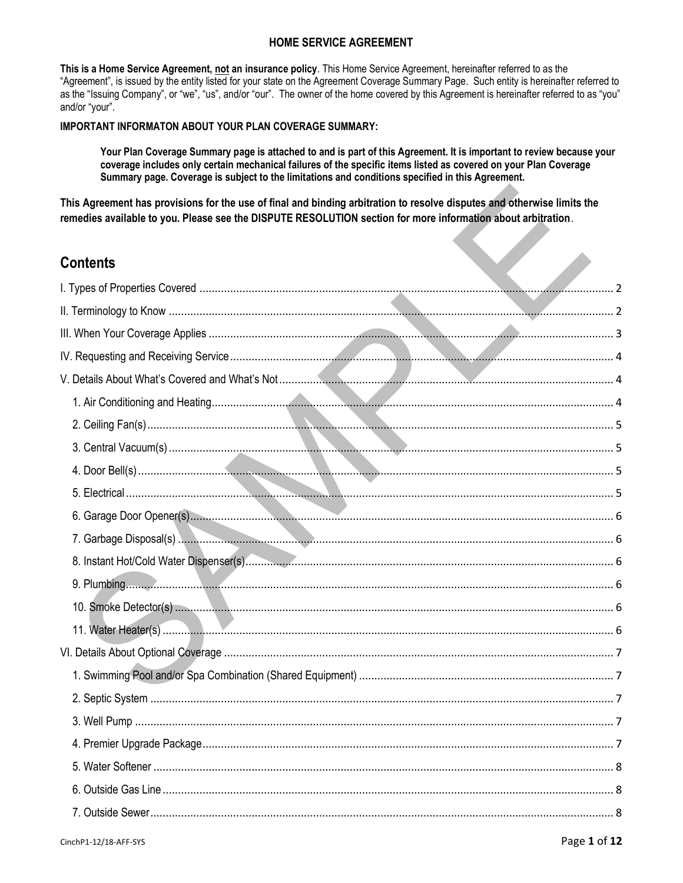# **HOME SERVICE AGREEMENT**

This is a Home Service Agreement, not an insurance policy. This Home Service Agreement, hereinafter referred to as the "Agreement", is issued by the entity listed for your state on the Agreement Coverage Summary Page. Such entity is hereinafter referred to as the "Issuing Company", or "we", "us", and/or "our". The owner of the home covered by this Agreement is hereinafter referred to as "you" and/or "your".

### **IMPORTANT INFORMATON ABOUT YOUR PLAN COVERAGE SUMMARY:**

Your Plan Coverage Summary page is attached to and is part of this Agreement. It is important to review because your coverage includes only certain mechanical failures of the specific items listed as covered on your Plan Coverage Summary page. Coverage is subject to the limitations and conditions specified in this Agreement.

This Agreement has provisions for the use of final and binding arbitration to resolve disputes and otherwise limits the remedies available to you. Please see the DISPUTE RESOLUTION section for more information about arbitration.

# **Contents**

| <b>Contents</b> |  |
|-----------------|--|
|                 |  |
|                 |  |
|                 |  |
|                 |  |
|                 |  |
|                 |  |
|                 |  |
|                 |  |
|                 |  |
|                 |  |
|                 |  |
|                 |  |
|                 |  |
|                 |  |
|                 |  |
|                 |  |
|                 |  |
|                 |  |
|                 |  |
|                 |  |
|                 |  |
|                 |  |
|                 |  |
|                 |  |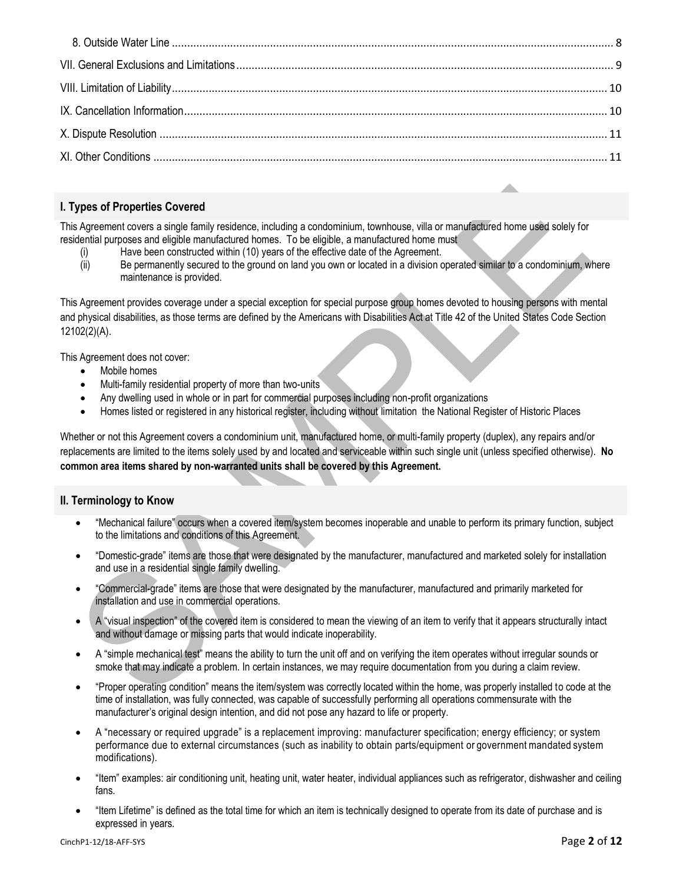# <span id="page-1-0"></span>**I. Types of Properties Covered**

This Agreement covers a single family residence, including a condominium, townhouse, villa or manufactured home used solely for residential purposes and eligible manufactured homes. To be eligible, a manufactured home must

- Have been constructed within (10) years of the effective date of the Agreement.
- (ii) Be permanently secured to the ground on land you own or located in a division operated similar to a condominium, where maintenance is provided.

This Agreement provides coverage under a special exception for special purpose group homes devoted to housing persons with mental and physical disabilities, as those terms are defined by the Americans with Disabilities Act at Title 42 of the United States Code Section 12102(2)(A).

This Agreement does not cover:

- Mobile homes
- Multi-family residential property of more than two-units
- Any dwelling used in whole or in part for commercial purposes including non-profit organizations
- Homes listed or registered in any historical register, including without limitation the National Register of Historic Places

Whether or not this Agreement covers a condominium unit, manufactured home, or multi-family property (duplex), any repairs and/or replacements are limited to the items solely used by and located and serviceable within such single unit (unless specified otherwise). **No common area items shared by non-warranted units shall be covered by this Agreement.**

# <span id="page-1-1"></span>**II. Terminology to Know**

- "Mechanical failure" occurs when a covered item/system becomes inoperable and unable to perform its primary function, subject to the limitations and conditions of this Agreement.
- "Domestic-grade" items are those that were designated by the manufacturer, manufactured and marketed solely for installation and use in a residential single family dwelling.
- "Commercial-grade" items are those that were designated by the manufacturer, manufactured and primarily marketed for installation and use in commercial operations.
- A "visual inspection" of the covered item is considered to mean the viewing of an item to verify that it appears structurally intact and without damage or missing parts that would indicate inoperability.
- A "simple mechanical test" means the ability to turn the unit off and on verifying the item operates without irregular sounds or smoke that may indicate a problem. In certain instances, we may require documentation from you during a claim review.
- "Proper operating condition" means the item/system was correctly located within the home, was properly installed to code at the time of installation, was fully connected, was capable of successfully performing all operations commensurate with the manufacturer's original design intention, and did not pose any hazard to life or property.
- A "necessary or required upgrade" is a replacement improving: manufacturer specification; energy efficiency; or system performance due to external circumstances (such as inability to obtain parts/equipment or government mandated system modifications).
- "Item" examples: air conditioning unit, heating unit, water heater, individual appliances such as refrigerator, dishwasher and ceiling fans.
- "Item Lifetime" is defined as the total time for which an item is technically designed to operate from its date of purchase and is expressed in years.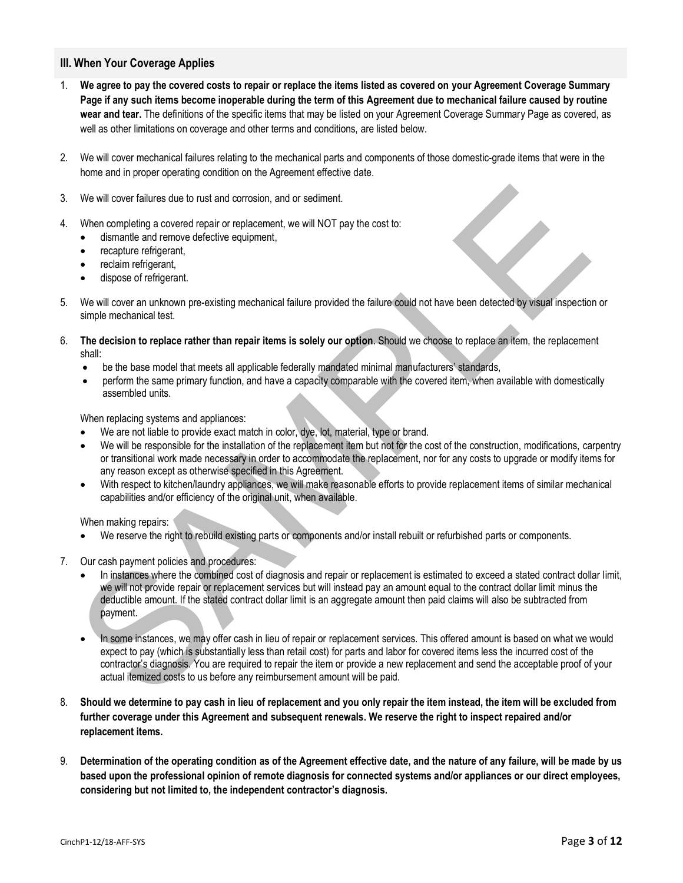### <span id="page-2-0"></span>**III. When Your Coverage Applies**

- 1. **We agree to pay the covered costs to repair or replace the items listed as covered on your Agreement Coverage Summary Page if any such items become inoperable during the term of this Agreement due to mechanical failure caused by routine wear and tear.** The definitions of the specific items that may be listed on your Agreement Coverage Summary Page as covered, as well as other limitations on coverage and other terms and conditions, are listed below.
- 2. We will cover mechanical failures relating to the mechanical parts and components of those domestic-grade items that were in the home and in proper operating condition on the Agreement effective date.
- 3. We will cover failures due to rust and corrosion, and or sediment.
- 4. When completing a covered repair or replacement, we will NOT pay the cost to:
	- dismantle and remove defective equipment,
	- recapture refrigerant,
	- reclaim refrigerant,
	- dispose of refrigerant.
- 5. We will cover an unknown pre-existing mechanical failure provided the failure could not have been detected by visual inspection or simple mechanical test.
- 6. **The decision to replace rather than repair items is solely our option**. Should we choose to replace an item, the replacement shall:
	- be the base model that meets all applicable federally mandated minimal manufacturers' standards,
	- perform the same primary function, and have a capacity comparable with the covered item, when available with domestically assembled units.

When replacing systems and appliances:

- We are not liable to provide exact match in color, dye, lot, material, type or brand.
- We will be responsible for the installation of the replacement item but not for the cost of the construction, modifications, carpentry or transitional work made necessary in order to accommodate the replacement, nor for any costs to upgrade or modify items for any reason except as otherwise specified in this Agreement.
- With respect to kitchen/laundry appliances, we will make reasonable efforts to provide replacement items of similar mechanical capabilities and/or efficiency of the original unit, when available.

When making repairs:

- We reserve the right to rebuild existing parts or components and/or install rebuilt or refurbished parts or components.
- 7. Our cash payment policies and procedures:
	- In instances where the combined cost of diagnosis and repair or replacement is estimated to exceed a stated contract dollar limit, we will not provide repair or replacement services but will instead pay an amount equal to the contract dollar limit minus the deductible amount. If the stated contract dollar limit is an aggregate amount then paid claims will also be subtracted from payment.
	- In some instances, we may offer cash in lieu of repair or replacement services. This offered amount is based on what we would expect to pay (which is substantially less than retail cost) for parts and labor for covered items less the incurred cost of the contractor's diagnosis. You are required to repair the item or provide a new replacement and send the acceptable proof of your actual itemized costs to us before any reimbursement amount will be paid.
- 8. **Should we determine to pay cash in lieu of replacement and you only repair the item instead, the item will be excluded from further coverage under this Agreement and subsequent renewals. We reserve the right to inspect repaired and/or replacement items.**
- 9. **Determination of the operating condition as of the Agreement effective date, and the nature of any failure, will be made by us based upon the professional opinion of remote diagnosis for connected systems and/or appliances or our direct employees, considering but not limited to, the independent contractor's diagnosis.**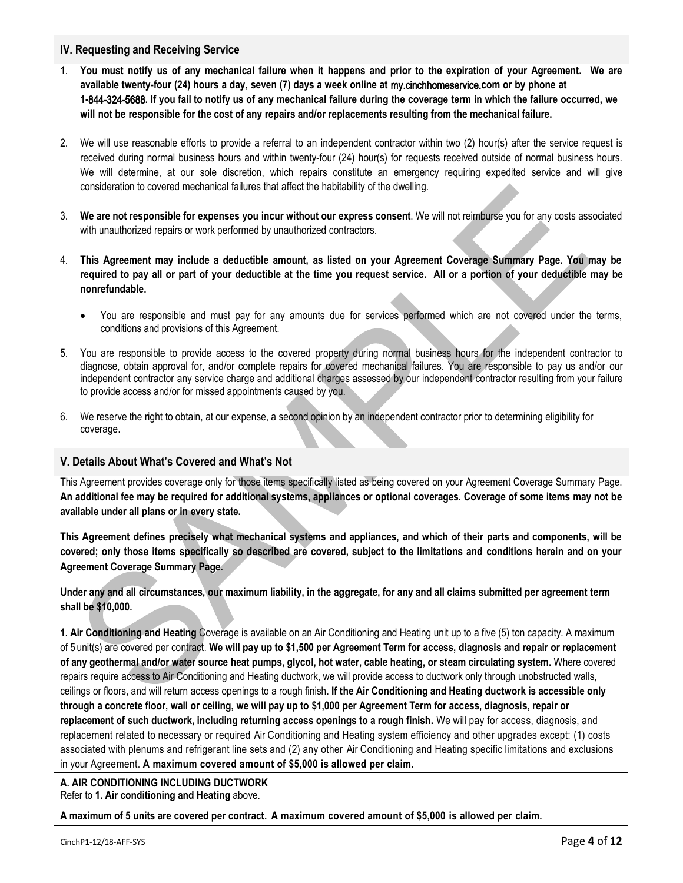# <span id="page-3-0"></span>**IV. Requesting and Receiving Service**

- 1. **You must notify us of any mechanical failure when it happens and prior to the expiration of your Agreement. We are available twenty-four (24) hours a day, seven (7) days a week online at** [my.cinchhom](http://www.x.com/)eservice.**com or by phone at 1-**844-324-5688**. If you fail to notify us of any mechanical failure during the coverage term in which the failure occurred, we will not be responsible for the cost of any repairs and/or replacements resulting from the mechanical failure.**
- 2. We will use reasonable efforts to provide a referral to an independent contractor within two (2) hour(s) after the service request is received during normal business hours and within twenty-four (24) hour(s) for requests received outside of normal business hours. We will determine, at our sole discretion, which repairs constitute an emergency requiring expedited service and will give consideration to covered mechanical failures that affect the habitability of the dwelling.
- 3. **We are not responsible for expenses you incur without our express consent**. We will not reimburse you for any costs associated with unauthorized repairs or work performed by unauthorized contractors.
- 4. **This Agreement may include a deductible amount, as listed on your Agreement Coverage Summary Page. You may be required to pay all or part of your deductible at the time you request service. All or a portion of your deductible may be nonrefundable.**
	- You are responsible and must pay for any amounts due for services performed which are not covered under the terms, conditions and provisions of this Agreement.
- 5. You are responsible to provide access to the covered property during normal business hours for the independent contractor to diagnose, obtain approval for, and/or complete repairs for covered mechanical failures. You are responsible to pay us and/or our independent contractor any service charge and additional charges assessed by our independent contractor resulting from your failure to provide access and/or for missed appointments caused by you.
- 6. We reserve the right to obtain, at our expense, a second opinion by an independent contractor prior to determining eligibility for coverage.

# <span id="page-3-1"></span>**V. Details About What's Covered and What's Not**

This Agreement provides coverage only for those items specifically listed as being covered on your Agreement Coverage Summary Page. **An additional fee may be required for additional systems, appliances or optional coverages. Coverage of some items may not be available under all plans or in every state.**

**This Agreement defines precisely what mechanical systems and appliances, and which of their parts and components, will be covered; only those items specifically so described are covered, subject to the limitations and conditions herein and on your Agreement Coverage Summary Page.** 

**Under any and all circumstances, our maximum liability, in the aggregate, for any and all claims submitted per agreement term shall be \$10,000.**

<span id="page-3-2"></span>**1. Air Conditioning and Heating** Coverage is available on an Air Conditioning and Heating unit up to a five (5) ton capacity. A maximum of 5 unit(s) are covered per contract. **We will pay up to \$1,500 per Agreement Term for access, diagnosis and repair or replacement of any geothermal and/or water source heat pumps, glycol, hot water, cable heating, or steam circulating system.** Where covered repairs require access to Air Conditioning and Heating ductwork, we will provide access to ductwork only through unobstructed walls, ceilings or floors, and will return access openings to a rough finish. **If the Air Conditioning and Heating ductwork is accessible only through a concrete floor, wall or ceiling, we will pay up to \$1,000 per Agreement Term for access, diagnosis, repair or replacement of such ductwork, including returning access openings to a rough finish.** We will pay for access, diagnosis, and replacement related to necessary or required Air Conditioning and Heating system efficiency and other upgrades except: (1) costs associated with plenums and refrigerant line sets and (2) any other Air Conditioning and Heating specific limitations and exclusions in your Agreement. **A maximum covered amount of \$5,000 is allowed per claim.**

# **A. AIR CONDITIONING INCLUDING DUCTWORK**

Refer to **1. Air conditioning and Heating** above.

**A maximum of 5 units are covered per contract. A maximum covered amount of \$5,000 is allowed per claim.**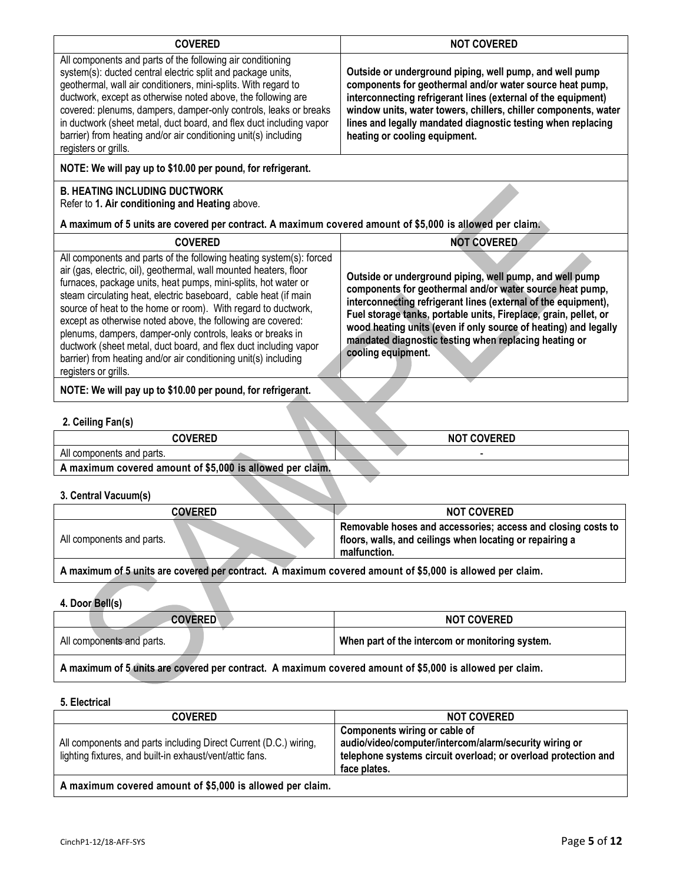| <b>COVERED</b>                                                                                                                                                                                                                                                                                                                                                                                                                                                                                                                                                                                                     | <b>NOT COVERED</b>                                                                                                                                                                                                                                                                                                                                                                                          |
|--------------------------------------------------------------------------------------------------------------------------------------------------------------------------------------------------------------------------------------------------------------------------------------------------------------------------------------------------------------------------------------------------------------------------------------------------------------------------------------------------------------------------------------------------------------------------------------------------------------------|-------------------------------------------------------------------------------------------------------------------------------------------------------------------------------------------------------------------------------------------------------------------------------------------------------------------------------------------------------------------------------------------------------------|
| All components and parts of the following air conditioning<br>system(s): ducted central electric split and package units,<br>geothermal, wall air conditioners, mini-splits. With regard to<br>ductwork, except as otherwise noted above, the following are<br>covered: plenums, dampers, damper-only controls, leaks or breaks<br>in ductwork (sheet metal, duct board, and flex duct including vapor<br>barrier) from heating and/or air conditioning unit(s) including<br>registers or grills.                                                                                                                  | Outside or underground piping, well pump, and well pump<br>components for geothermal and/or water source heat pump,<br>interconnecting refrigerant lines (external of the equipment)<br>window units, water towers, chillers, chiller components, water<br>lines and legally mandated diagnostic testing when replacing<br>heating or cooling equipment.                                                    |
| NOTE: We will pay up to \$10.00 per pound, for refrigerant.                                                                                                                                                                                                                                                                                                                                                                                                                                                                                                                                                        |                                                                                                                                                                                                                                                                                                                                                                                                             |
| <b>B. HEATING INCLUDING DUCTWORK</b><br>Refer to 1. Air conditioning and Heating above.<br>A maximum of 5 units are covered per contract. A maximum covered amount of \$5,000 is allowed per claim.                                                                                                                                                                                                                                                                                                                                                                                                                |                                                                                                                                                                                                                                                                                                                                                                                                             |
| <b>COVERED</b>                                                                                                                                                                                                                                                                                                                                                                                                                                                                                                                                                                                                     | <b>NOT COVERED</b>                                                                                                                                                                                                                                                                                                                                                                                          |
| All components and parts of the following heating system(s): forced<br>air (gas, electric, oil), geothermal, wall mounted heaters, floor<br>furnaces, package units, heat pumps, mini-splits, hot water or<br>steam circulating heat, electric baseboard, cable heat (if main<br>source of heat to the home or room). With regard to ductwork,<br>except as otherwise noted above, the following are covered:<br>plenums, dampers, damper-only controls, leaks or breaks in<br>ductwork (sheet metal, duct board, and flex duct including vapor<br>barrier) from heating and/or air conditioning unit(s) including | Outside or underground piping, well pump, and well pump<br>components for geothermal and/or water source heat pump,<br>interconnecting refrigerant lines (external of the equipment),<br>Fuel storage tanks, portable units, Fireplace, grain, pellet, or<br>wood heating units (even if only source of heating) and legally<br>mandated diagnostic testing when replacing heating or<br>cooling equipment. |
| registers or grills.                                                                                                                                                                                                                                                                                                                                                                                                                                                                                                                                                                                               |                                                                                                                                                                                                                                                                                                                                                                                                             |
| NOTE: We will pay up to \$10.00 per pound, for refrigerant.                                                                                                                                                                                                                                                                                                                                                                                                                                                                                                                                                        |                                                                                                                                                                                                                                                                                                                                                                                                             |
| 2. Ceiling Fan(s)                                                                                                                                                                                                                                                                                                                                                                                                                                                                                                                                                                                                  |                                                                                                                                                                                                                                                                                                                                                                                                             |

<span id="page-4-0"></span>

|                                             | -------            |     | <b>NATAAVERER</b><br>N١<br>⋯⊷ |  |
|---------------------------------------------|--------------------|-----|-------------------------------|--|
| All (<br>' parts.<br>and<br>onents<br>CONDO |                    |     | -                             |  |
|                                             | $\cdots$<br>$\sim$ | . . |                               |  |

**A maximum covered amount of \$5,000 is allowed per claim.**

<span id="page-4-1"></span>**3. Central Vacuum(s)**

| Covered                   | <b>NOT COVERED</b>                                                                                                                       |
|---------------------------|------------------------------------------------------------------------------------------------------------------------------------------|
| All components and parts. | Removable hoses and accessories; access and closing costs to<br>floors, walls, and ceilings when locating or repairing a<br>malfunction. |
|                           |                                                                                                                                          |

**A maximum of 5 units are covered per contract. A maximum covered amount of \$5,000 is allowed per claim.**

# <span id="page-4-2"></span>**4. Door Bell(s)**

| <b>COVERED</b>            | <b>NOT COVERED</b>                              |
|---------------------------|-------------------------------------------------|
| All components and parts. | When part of the intercom or monitoring system. |
|                           |                                                 |

**A maximum of 5 units are covered per contract. A maximum covered amount of \$5,000 is allowed per claim.**

# <span id="page-4-3"></span>**5. Electrical**

| <b>COVERED</b>                                                                                                               | <b>NOT COVERED</b>                                                                                                                                                        |
|------------------------------------------------------------------------------------------------------------------------------|---------------------------------------------------------------------------------------------------------------------------------------------------------------------------|
| All components and parts including Direct Current (D.C.) wiring,<br>lighting fixtures, and built-in exhaust/vent/attic fans. | Components wiring or cable of<br>audio/video/computer/intercom/alarm/security wiring or<br>telephone systems circuit overload; or overload protection and<br>face plates. |
| A maximum covered amount of \$5,000 is allowed per claim.                                                                    |                                                                                                                                                                           |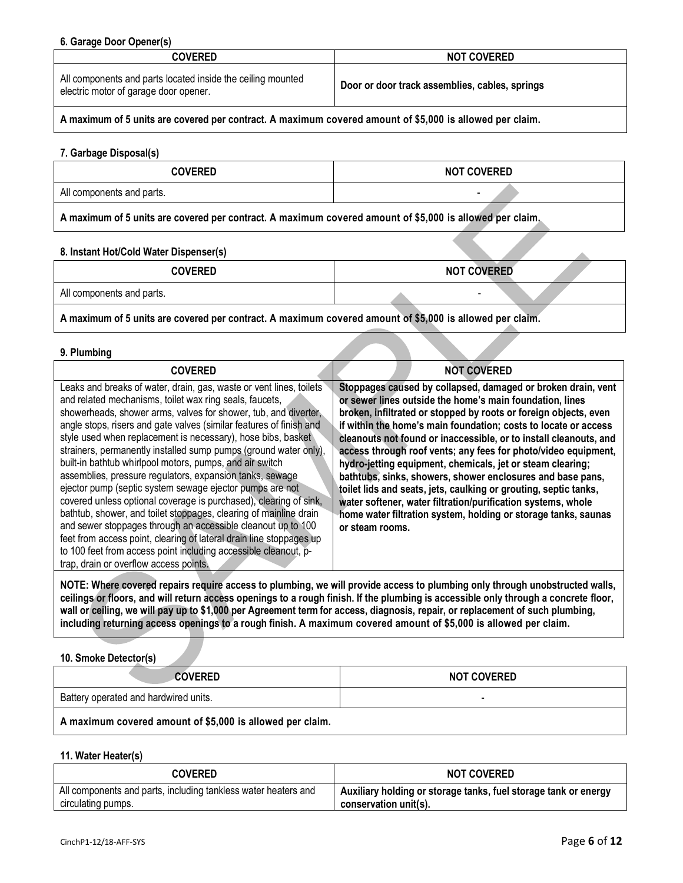#### <span id="page-5-0"></span>**6. Garage Door Opener(s)**

| <b>COVERED</b>                                                                                       | <b>NOT COVERED</b>                             |
|------------------------------------------------------------------------------------------------------|------------------------------------------------|
| All components and parts located inside the ceiling mounted<br>electric motor of garage door opener. | Door or door track assemblies, cables, springs |

**A maximum of 5 units are covered per contract. A maximum covered amount of \$5,000 is allowed per claim.**

#### <span id="page-5-1"></span>**7. Garbage Disposal(s)**

| <b>COVERED</b>                                                                                           | <b>NOT COVERED</b> |  |
|----------------------------------------------------------------------------------------------------------|--------------------|--|
| All components and parts.                                                                                |                    |  |
| A maximum of 5 units are covered per contract. A maximum covered amount of \$5,000 is allowed per claim. |                    |  |

#### <span id="page-5-2"></span>**8. Instant Hot/Cold Water Dispenser(s)**

| <b>COVERED</b>            | <b>NOT COVERED</b> |  |
|---------------------------|--------------------|--|
| All components and parts. |                    |  |

**A maximum of 5 units are covered per contract. A maximum covered amount of \$5,000 is allowed per claim.**

#### <span id="page-5-3"></span>**9. Plumbing**

| <b>COVERED</b>                                                                                                                                                                                                                                                                                                                                                                                                                                                                                                                                                                                                                                                                                                                                                                                                                                                                                                                                                                                 | <b>NOT COVERED</b>                                                                                                                                                                                                                                                                                                                                                                                                                                                                                                                                                                                                                                                                                                                                          |
|------------------------------------------------------------------------------------------------------------------------------------------------------------------------------------------------------------------------------------------------------------------------------------------------------------------------------------------------------------------------------------------------------------------------------------------------------------------------------------------------------------------------------------------------------------------------------------------------------------------------------------------------------------------------------------------------------------------------------------------------------------------------------------------------------------------------------------------------------------------------------------------------------------------------------------------------------------------------------------------------|-------------------------------------------------------------------------------------------------------------------------------------------------------------------------------------------------------------------------------------------------------------------------------------------------------------------------------------------------------------------------------------------------------------------------------------------------------------------------------------------------------------------------------------------------------------------------------------------------------------------------------------------------------------------------------------------------------------------------------------------------------------|
| Leaks and breaks of water, drain, gas, waste or vent lines, toilets<br>and related mechanisms, toilet wax ring seals, faucets,<br>showerheads, shower arms, valves for shower, tub, and diverter,<br>angle stops, risers and gate valves (similar features of finish and<br>style used when replacement is necessary), hose bibs, basket<br>strainers, permanently installed sump pumps (ground water only),<br>built-in bathtub whirlpool motors, pumps, and air switch<br>assemblies, pressure regulators, expansion tanks, sewage<br>ejector pump (septic system sewage ejector pumps are not<br>covered unless optional coverage is purchased), clearing of sink,<br>bathtub, shower, and toilet stoppages, clearing of mainline drain<br>and sewer stoppages through an accessible cleanout up to 100<br>feet from access point, clearing of lateral drain line stoppages up<br>to 100 feet from access point including accessible cleanout, p-<br>trap, drain or overflow access points. | Stoppages caused by collapsed, damaged or broken drain, vent<br>or sewer lines outside the home's main foundation, lines<br>broken, infiltrated or stopped by roots or foreign objects, even<br>if within the home's main foundation; costs to locate or access<br>cleanouts not found or inaccessible, or to install cleanouts, and<br>access through roof vents; any fees for photo/video equipment,<br>hydro-jetting equipment, chemicals, jet or steam clearing;<br>bathtubs, sinks, showers, shower enclosures and base pans,<br>toilet lids and seats, jets, caulking or grouting, septic tanks,<br>water softener, water filtration/purification systems, whole<br>home water filtration system, holding or storage tanks, saunas<br>or steam rooms. |
|                                                                                                                                                                                                                                                                                                                                                                                                                                                                                                                                                                                                                                                                                                                                                                                                                                                                                                                                                                                                |                                                                                                                                                                                                                                                                                                                                                                                                                                                                                                                                                                                                                                                                                                                                                             |

**NOTE: Where covered repairs require access to plumbing, we will provide access to plumbing only through unobstructed walls, ceilings or floors, and will return access openings to a rough finish. If the plumbing is accessible only through a concrete floor, wall or ceiling, we will pay up to \$1,000 per Agreement term for access, diagnosis, repair, or replacement of such plumbing, including returning access openings to a rough finish. A maximum covered amount of \$5,000 is allowed per claim.**

#### <span id="page-5-4"></span>**10. Smoke Detector(s)**

| <b>COVERED</b>                                            | <b>NOT COVERED</b> |
|-----------------------------------------------------------|--------------------|
| Battery operated and hardwired units.                     |                    |
| A mayimum covered amount of \$5,000 is allowed per claim. |                    |

**A maximum covered amount of \$5,000 is allowed per claim.**

#### <span id="page-5-5"></span>**11. Water Heater(s)**

| <b>COVERED</b>                                                 | <b>NOT COVERED</b>                                              |
|----------------------------------------------------------------|-----------------------------------------------------------------|
| All components and parts, including tankless water heaters and | Auxiliary holding or storage tanks, fuel storage tank or energy |
| circulating pumps.                                             | conservation unit(s).                                           |

A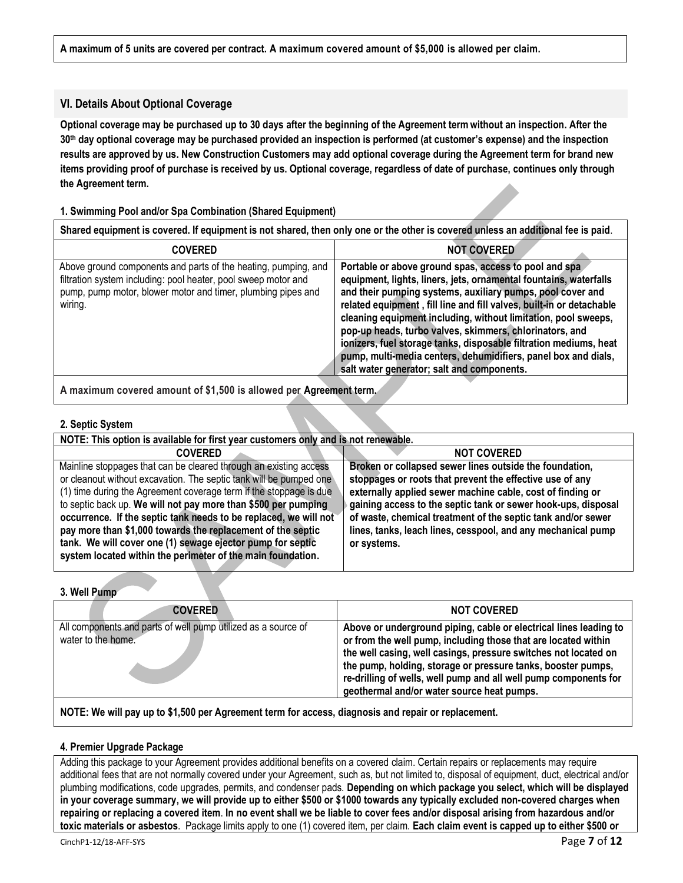## <span id="page-6-0"></span>**VI. Details About Optional Coverage**

**Optional coverage may be purchased up to 30 days after the beginning of the Agreement term without an inspection. After the 30th day optional coverage may be purchased provided an inspection is performed (at customer's expense) and the inspection results are approved by us. New Construction Customers may add optional coverage during the Agreement term for brand new items providing proof of purchase is received by us. Optional coverage, regardless of date of purchase, continues only through the Agreement term.**

### <span id="page-6-1"></span>**1. Swimming Pool and/or Spa Combination (Shared Equipment)**

| Shared equipment is covered. If equipment is not shared, then only one or the other is covered unless an additional fee is paid.                                                                            |                                                                                                                                                                                                                                                                                                                                                                                                                                                                                                                                                                                    |
|-------------------------------------------------------------------------------------------------------------------------------------------------------------------------------------------------------------|------------------------------------------------------------------------------------------------------------------------------------------------------------------------------------------------------------------------------------------------------------------------------------------------------------------------------------------------------------------------------------------------------------------------------------------------------------------------------------------------------------------------------------------------------------------------------------|
| <b>COVERED</b>                                                                                                                                                                                              | <b>NOT COVERED</b>                                                                                                                                                                                                                                                                                                                                                                                                                                                                                                                                                                 |
| Above ground components and parts of the heating, pumping, and<br>filtration system including: pool heater, pool sweep motor and<br>pump, pump motor, blower motor and timer, plumbing pipes and<br>wiring. | Portable or above ground spas, access to pool and spa<br>equipment, lights, liners, jets, ornamental fountains, waterfalls<br>and their pumping systems, auxiliary pumps, pool cover and<br>related equipment, fill line and fill valves, built-in or detachable<br>cleaning equipment including, without limitation, pool sweeps,<br>pop-up heads, turbo valves, skimmers, chlorinators, and<br>ionizers, fuel storage tanks, disposable filtration mediums, heat<br>pump, multi-media centers, dehumidifiers, panel box and dials,<br>salt water generator; salt and components. |
|                                                                                                                                                                                                             |                                                                                                                                                                                                                                                                                                                                                                                                                                                                                                                                                                                    |

**A maximum covered amount of \$1,500 is allowed per Agreement term.**

#### <span id="page-6-2"></span>**2. Septic System**

| NOTE: This option is available for first year customers only and is not renewable.                                                                                                                                                                                                                                                                                                                                                                                                                                                              |                                                                                                                                                                                                                                                                                                                                                                                                   |
|-------------------------------------------------------------------------------------------------------------------------------------------------------------------------------------------------------------------------------------------------------------------------------------------------------------------------------------------------------------------------------------------------------------------------------------------------------------------------------------------------------------------------------------------------|---------------------------------------------------------------------------------------------------------------------------------------------------------------------------------------------------------------------------------------------------------------------------------------------------------------------------------------------------------------------------------------------------|
| <b>COVERED</b>                                                                                                                                                                                                                                                                                                                                                                                                                                                                                                                                  | <b>NOT COVERED</b>                                                                                                                                                                                                                                                                                                                                                                                |
| Mainline stoppages that can be cleared through an existing access<br>or cleanout without excavation. The septic tank will be pumped one<br>(1) time during the Agreement coverage term if the stoppage is due<br>to septic back up. We will not pay more than \$500 per pumping<br>occurrence. If the septic tank needs to be replaced, we will not<br>pay more than \$1,000 towards the replacement of the septic<br>tank. We will cover one (1) sewage ejector pump for septic<br>system located within the perimeter of the main foundation. | Broken or collapsed sewer lines outside the foundation,<br>stoppages or roots that prevent the effective use of any<br>externally applied sewer machine cable, cost of finding or<br>gaining access to the septic tank or sewer hook-ups, disposal<br>of waste, chemical treatment of the septic tank and/or sewer<br>lines, tanks, leach lines, cesspool, and any mechanical pump<br>or systems. |

#### <span id="page-6-3"></span>**3. Well Pump**

| <b>COVERED</b>                                                                      | <b>NOT COVERED</b>                                                                                                                                                                                                                                                                                                                                                                       |
|-------------------------------------------------------------------------------------|------------------------------------------------------------------------------------------------------------------------------------------------------------------------------------------------------------------------------------------------------------------------------------------------------------------------------------------------------------------------------------------|
| All components and parts of well pump utilized as a source of<br>water to the home. | Above or underground piping, cable or electrical lines leading to<br>or from the well pump, including those that are located within<br>the well casing, well casings, pressure switches not located on<br>the pump, holding, storage or pressure tanks, booster pumps,<br>re-drilling of wells, well pump and all well pump components for<br>geothermal and/or water source heat pumps. |
|                                                                                     |                                                                                                                                                                                                                                                                                                                                                                                          |

**NOTE: We will pay up to \$1,500 per Agreement term for access, diagnosis and repair or replacement.**

#### <span id="page-6-4"></span>**4. Premier Upgrade Package**

Adding this package to your Agreement provides additional benefits on a covered claim. Certain repairs or replacements may require additional fees that are not normally covered under your Agreement, such as, but not limited to, disposal of equipment, duct, electrical and/or plumbing modifications, code upgrades, permits, and condenser pads. **Depending on which package you select, which will be displayed in your coverage summary, we will provide up to either \$500 or \$1000 towards any typically excluded non-covered charges when repairing or replacing a covered item**. **In no event shall we be liable to cover fees and/or disposal arising from hazardous and/or toxic materials or asbestos**. Package limits apply to one (1) covered item, per claim. **Each claim event is capped up to either \$500 or**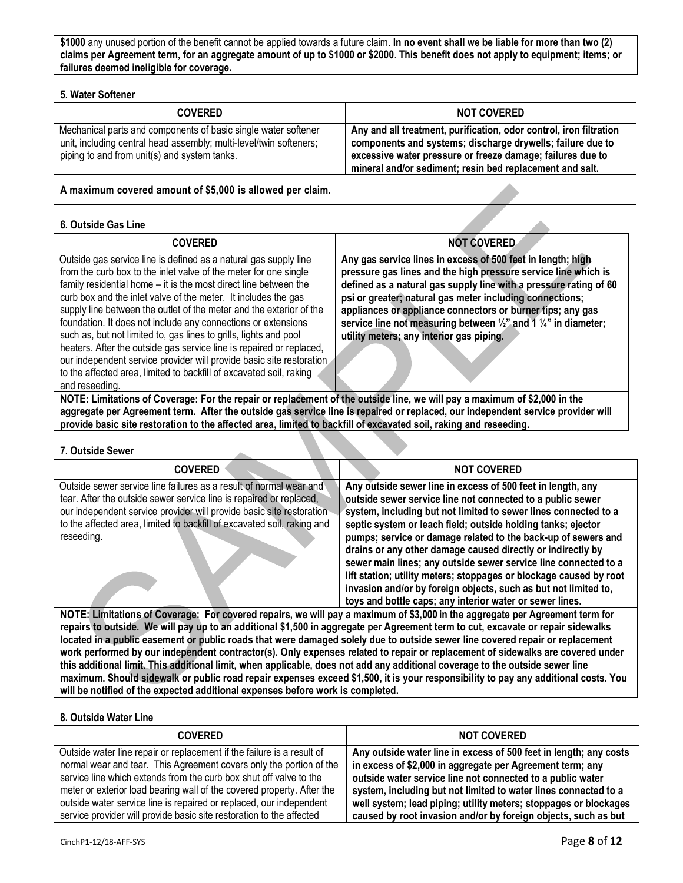**\$1000** any unused portion of the benefit cannot be applied towards a future claim. **In no event shall we be liable for more than two (2) claims per Agreement term, for an aggregate amount of up to \$1000 or \$2000**. **This benefit does not apply to equipment; items; or failures deemed ineligible for coverage.**

#### <span id="page-7-0"></span>**5. Water Softener**

| <b>COVERED</b>                                                                                                                                                                       | <b>NOT COVERED</b>                                                                                                                                                                                                                                         |
|--------------------------------------------------------------------------------------------------------------------------------------------------------------------------------------|------------------------------------------------------------------------------------------------------------------------------------------------------------------------------------------------------------------------------------------------------------|
| Mechanical parts and components of basic single water softener<br>unit, including central head assembly; multi-level/twin softeners;<br>piping to and from unit(s) and system tanks. | Any and all treatment, purification, odor control, iron filtration<br>components and systems; discharge drywells; failure due to<br>excessive water pressure or freeze damage; failures due to<br>mineral and/or sediment; resin bed replacement and salt. |

**A maximum covered amount of \$5,000 is allowed per claim.**

### <span id="page-7-1"></span>**6. Outside Gas Line**

| <b>COVERED</b>                                                                                                                                                                                                                                                                                                                                                                                                                                                                                                                                                                                                                                                                                                                   | <b>NOT COVERED</b>                                                                                                                                                                                                                                                                                                                                                                                                                                            |
|----------------------------------------------------------------------------------------------------------------------------------------------------------------------------------------------------------------------------------------------------------------------------------------------------------------------------------------------------------------------------------------------------------------------------------------------------------------------------------------------------------------------------------------------------------------------------------------------------------------------------------------------------------------------------------------------------------------------------------|---------------------------------------------------------------------------------------------------------------------------------------------------------------------------------------------------------------------------------------------------------------------------------------------------------------------------------------------------------------------------------------------------------------------------------------------------------------|
| Outside gas service line is defined as a natural gas supply line<br>from the curb box to the inlet valve of the meter for one single<br>family residential home – it is the most direct line between the<br>curb box and the inlet valve of the meter. It includes the gas<br>supply line between the outlet of the meter and the exterior of the<br>foundation. It does not include any connections or extensions<br>such as, but not limited to, gas lines to grills, lights and pool<br>heaters. After the outside gas service line is repaired or replaced,<br>our independent service provider will provide basic site restoration<br>to the affected area, limited to backfill of excavated soil, raking<br>and reseeding. | Any gas service lines in excess of 500 feet in length; high<br>pressure gas lines and the high pressure service line which is<br>defined as a natural gas supply line with a pressure rating of 60<br>psi or greater; natural gas meter including connections;<br>appliances or appliance connectors or burner tips; any gas<br>service line not measuring between $\frac{1}{2}$ and 1 $\frac{1}{4}$ in diameter;<br>utility meters; any interior gas piping. |
| NOTE: Limitations of Coverage: For the repair or replacement of the outside line, we will pay a maximum of \$2,000 in the                                                                                                                                                                                                                                                                                                                                                                                                                                                                                                                                                                                                        |                                                                                                                                                                                                                                                                                                                                                                                                                                                               |

**aggregate per Agreement term. After the outside gas service line is repaired or replaced, our independent service provider will provide basic site restoration to the affected area, limited to backfill of excavated soil, raking and reseeding.**

# <span id="page-7-2"></span>**7. Outside Sewer**

| <b>COVERED</b>                                                                                                                                                                                                                                                                                                                                                                                                                           | <b>NOT COVERED</b>                                                                                                                                                                                                                                                                                                                                                                                                                                                                                                                                                                                                                                                   |
|------------------------------------------------------------------------------------------------------------------------------------------------------------------------------------------------------------------------------------------------------------------------------------------------------------------------------------------------------------------------------------------------------------------------------------------|----------------------------------------------------------------------------------------------------------------------------------------------------------------------------------------------------------------------------------------------------------------------------------------------------------------------------------------------------------------------------------------------------------------------------------------------------------------------------------------------------------------------------------------------------------------------------------------------------------------------------------------------------------------------|
| Outside sewer service line failures as a result of normal wear and<br>tear. After the outside sewer service line is repaired or replaced,<br>our independent service provider will provide basic site restoration<br>to the affected area, limited to backfill of excavated soil, raking and<br>reseeding.<br>NOTE. I imitatione of Coverage: For obversed repairs we will pay a movimum of C2000 in the convente nor Agreement torm for | Any outside sewer line in excess of 500 feet in length, any<br>outside sewer service line not connected to a public sewer<br>system, including but not limited to sewer lines connected to a<br>septic system or leach field; outside holding tanks; ejector<br>pumps; service or damage related to the back-up of sewers and<br>drains or any other damage caused directly or indirectly by<br>sewer main lines; any outside sewer service line connected to a<br>lift station; utility meters; stoppages or blockage caused by root<br>invasion and/or by foreign objects, such as but not limited to,<br>toys and bottle caps; any interior water or sewer lines. |
|                                                                                                                                                                                                                                                                                                                                                                                                                                          |                                                                                                                                                                                                                                                                                                                                                                                                                                                                                                                                                                                                                                                                      |

**NOTE: Limitations of Coverage: For covered repairs, we will pay a maximum of \$3,000 in the aggregate per Agreement term for repairs to outside. We will pay up to an additional \$1,500 in aggregate per Agreement term to cut, excavate or repair sidewalks located in a public easement or public roads that were damaged solely due to outside sewer line covered repair or replacement work performed by our independent contractor(s). Only expenses related to repair or replacement of sidewalks are covered under this additional limit. This additional limit, when applicable, does not add any additional coverage to the outside sewer line maximum. Should sidewalk or public road repair expenses exceed \$1,500, it is your responsibility to pay any additional costs. You will be notified of the expected additional expenses before work is completed.**

#### <span id="page-7-3"></span>**8. Outside Water Line**

| <b>COVERED</b>                                                         | <b>NOT COVERED</b>                                                |
|------------------------------------------------------------------------|-------------------------------------------------------------------|
| Outside water line repair or replacement if the failure is a result of | Any outside water line in excess of 500 feet in length; any costs |
| normal wear and tear. This Agreement covers only the portion of the    | in excess of \$2,000 in aggregate per Agreement term; any         |
| service line which extends from the curb box shut off valve to the     | outside water service line not connected to a public water        |
| meter or exterior load bearing wall of the covered property. After the | system, including but not limited to water lines connected to a   |
| outside water service line is repaired or replaced, our independent    | well system; lead piping; utility meters; stoppages or blockages  |
| service provider will provide basic site restoration to the affected   | caused by root invasion and/or by foreign objects, such as but    |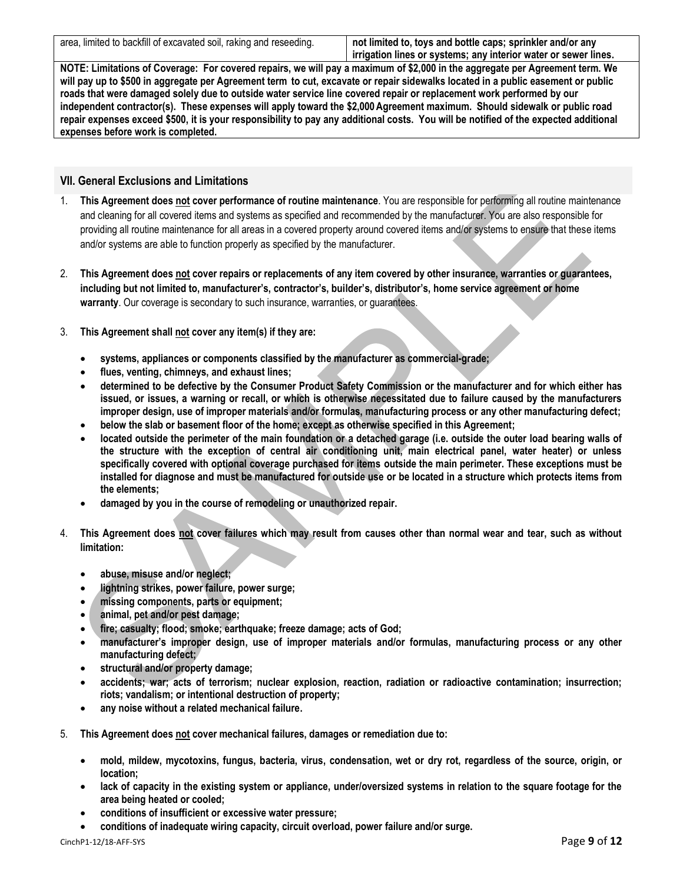area, limited to backfill of excavated soil, raking and reseeding. **not limited to, toys and bottle caps; sprinkler and/or any** 

**irrigation lines or systems; any interior water or sewer lines.**

**NOTE: Limitations of Coverage: For covered repairs, we will pay a maximum of \$2,000 in the aggregate per Agreement term. We will pay up to \$500 in aggregate per Agreement term to cut, excavate or repair sidewalks located in a public easement or public roads that were damaged solely due to outside water service line covered repair or replacement work performed by our independent contractor(s). These expenses will apply toward the \$2,000Agreement maximum. Should sidewalk or public road repair expenses exceed \$500, it is your responsibility to pay any additional costs. You will be notified of the expected additional expenses before work is completed.**

# <span id="page-8-0"></span>**VII. General Exclusions and Limitations**

- 1. **This Agreement does not cover performance of routine maintenance**. You are responsible for performing all routine maintenance and cleaning for all covered items and systems as specified and recommended by the manufacturer. You are also responsible for providing all routine maintenance for all areas in a covered property around covered items and/or systems to ensure that these items and/or systems are able to function properly as specified by the manufacturer.
- 2. **This Agreement does not cover repairs or replacements of any item covered by other insurance, warranties or guarantees, including but not limited to, manufacturer's, contractor's, builder's, distributor's, home service agreement or home warranty**. Our coverage is secondary to such insurance, warranties, or guarantees.
- 3. **This Agreement shall not cover any item(s) if they are:**
	- **systems, appliances or components classified by the manufacturer as commercial-grade;**
	- **flues, venting, chimneys, and exhaust lines;**
	- **determined to be defective by the Consumer Product Safety Commission or the manufacturer and for which either has issued, or issues, a warning or recall, or which is otherwise necessitated due to failure caused by the manufacturers improper design, use of improper materials and/or formulas, manufacturing process or any other manufacturing defect;**
	- **below the slab or basement floor of the home; except as otherwise specified in this Agreement;**
	- **located outside the perimeter of the main foundation or a detached garage (i.e. outside the outer load bearing walls of the structure with the exception of central air conditioning unit, main electrical panel, water heater) or unless specifically covered with optional coverage purchased for items outside the main perimeter. These exceptions must be installed for diagnose and must be manufactured for outside use or be located in a structure which protects items from the elements;**
	- **damaged by you in the course of remodeling or unauthorized repair.**
- 4. **This Agreement does not cover failures which may result from causes other than normal wear and tear, such as without limitation:**
	- **abuse, misuse and/or neglect;**
	- **lightning strikes, power failure, power surge;**
	- **missing components, parts or equipment;**
	- **animal, pet and/or pest damage;**
	- **fire; casualty; flood; smoke; earthquake; freeze damage; acts of God;**
	- **manufacturer's improper design, use of improper materials and/or formulas, manufacturing process or any other manufacturing defect;**
	- **structural and/or property damage;**
	- **accidents; war; acts of terrorism; nuclear explosion, reaction, radiation or radioactive contamination; insurrection; riots; vandalism; or intentional destruction of property;**
	- **any noise without a related mechanical failure.**
- 5. **This Agreement does not cover mechanical failures, damages or remediation due to:**
	- **mold, mildew, mycotoxins, fungus, bacteria, virus, condensation, wet or dry rot, regardless of the source, origin, or location;**
	- **lack of capacity in the existing system or appliance, under/oversized systems in relation to the square footage for the area being heated or cooled;**
	- **conditions of insufficient or excessive water pressure;**
	- **conditions of inadequate wiring capacity, circuit overload, power failure and/or surge.**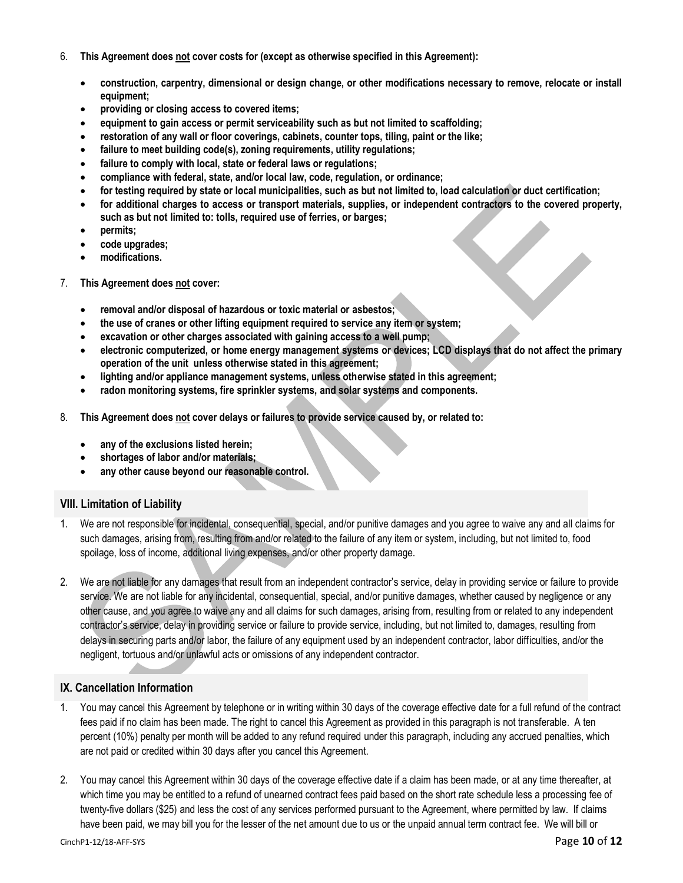- 6. **This Agreement does not cover costs for (except as otherwise specified in this Agreement):**
	- **construction, carpentry, dimensional or design change, or other modifications necessary to remove, relocate or install equipment;**
	- **providing or closing access to covered items;**
	- **equipment to gain access or permit serviceability such as but not limited to scaffolding;**
	- **restoration of any wall or floor coverings, cabinets, counter tops, tiling, paint or the like;**
	- **failure to meet building code(s), zoning requirements, utility regulations;**
	- **failure to comply with local, state or federal laws or regulations;**
	- **compliance with federal, state, and/or local law, code, regulation, or ordinance;**
	- **for testing required by state or local municipalities, such as but not limited to, load calculation or duct certification;**
	- **for additional charges to access or transport materials, supplies, or independent contractors to the covered property, such as but not limited to: tolls, required use of ferries, or barges;**
	- **permits;**
	- **code upgrades;**
	- **modifications.**
- 7. **This Agreement does not cover:**
	- **removal and/or disposal of hazardous or toxic material or asbestos;**
	- **the use of cranes or other lifting equipment required to service any item or system;**
	- **excavation or other charges associated with gaining access to a well pump;**
	- **electronic computerized, or home energy management systems or devices; LCD displays that do not affect the primary operation of the unit unless otherwise stated in this agreement;**
	- **lighting and/or appliance management systems, unless otherwise stated in this agreement;**
	- **radon monitoring systems, fire sprinkler systems, and solar systems and components.**
- 8. **This Agreement does not cover delays or failures to provide service caused by, or related to:**
	- **any of the exclusions listed herein;**
	- **shortages of labor and/or materials;**
	- **any other cause beyond our reasonable control.**

#### <span id="page-9-0"></span>**VIII. Limitation of Liability**

- 1. We are not responsible for incidental, consequential, special, and/or punitive damages and you agree to waive any and all claims for such damages, arising from, resulting from and/or related to the failure of any item or system, including, but not limited to, food spoilage, loss of income, additional living expenses, and/or other property damage.
- 2. We are not liable for any damages that result from an independent contractor's service, delay in providing service or failure to provide service. We are not liable for any incidental, consequential, special, and/or punitive damages, whether caused by negligence or any other cause, and you agree to waive any and all claims for such damages, arising from, resulting from or related to any independent contractor's service, delay in providing service or failure to provide service, including, but not limited to, damages, resulting from delays in securing parts and/or labor, the failure of any equipment used by an independent contractor, labor difficulties, and/or the negligent, tortuous and/or unlawful acts or omissions of any independent contractor.

# <span id="page-9-1"></span>**IX. Cancellation Information**

- 1. You may cancel this Agreement by telephone or in writing within 30 days of the coverage effective date for a full refund of the contract fees paid if no claim has been made. The right to cancel this Agreement as provided in this paragraph is not transferable. A ten percent (10%) penalty per month will be added to any refund required under this paragraph, including any accrued penalties, which are not paid or credited within 30 days after you cancel this Agreement.
- 2. You may cancel this Agreement within 30 days of the coverage effective date if a claim has been made, or at any time thereafter, at which time you may be entitled to a refund of unearned contract fees paid based on the short rate schedule less a processing fee of twenty-five dollars (\$25) and less the cost of any services performed pursuant to the Agreement, where permitted by law. If claims have been paid, we may bill you for the lesser of the net amount due to us or the unpaid annual term contract fee. We will bill or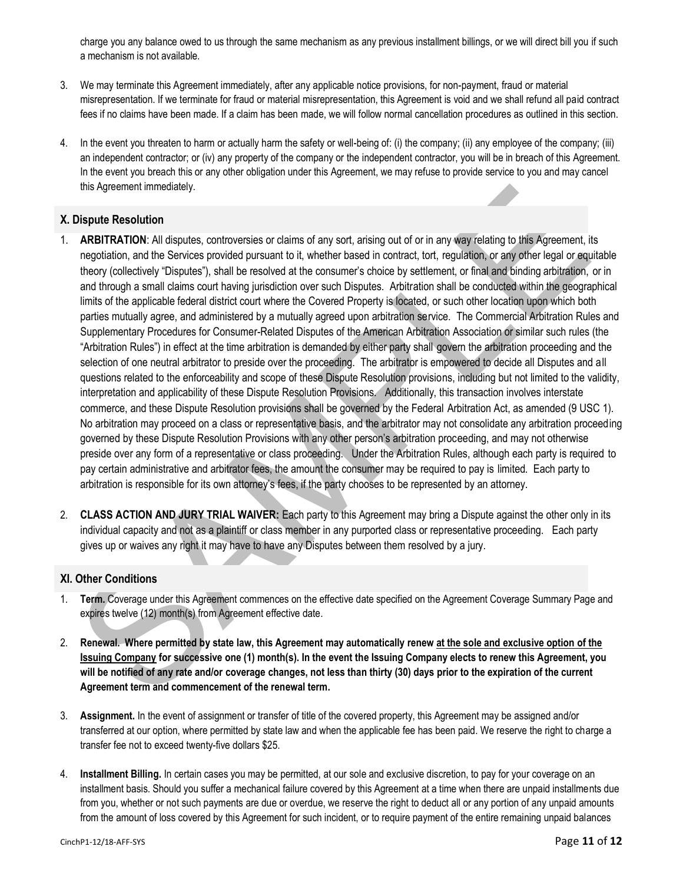charge you any balance owed to us through the same mechanism as any previous installment billings, or we will direct bill you if such a mechanism is not available.

- 3. We may terminate this Agreement immediately, after any applicable notice provisions, for non-payment, fraud or material misrepresentation. If we terminate for fraud or material misrepresentation, this Agreement is void and we shall refund all paid contract fees if no claims have been made. If a claim has been made, we will follow normal cancellation procedures as outlined in this section.
- 4. In the event you threaten to harm or actually harm the safety or well-being of: (i) the company; (ii) any employee of the company; (iii) an independent contractor; or (iv) any property of the company or the independent contractor, you will be in breach of this Agreement. In the event you breach this or any other obligation under this Agreement, we may refuse to provide service to you and may cancel this Agreement immediately.

# <span id="page-10-0"></span>**X. Dispute Resolution**

- 1. **ARBITRATION**: All disputes, controversies or claims of any sort, arising out of or in any way relating to this Agreement, its negotiation, and the Services provided pursuant to it, whether based in contract, tort, regulation, or any other legal or equitable theory (collectively "Disputes"), shall be resolved at the consumer's choice by settlement, or final and binding arbitration, or in and through a small claims court having jurisdiction over such Disputes. Arbitration shall be conducted within the geographical limits of the applicable federal district court where the Covered Property is located, or such other location upon which both parties mutually agree, and administered by a mutually agreed upon arbitration service. The Commercial Arbitration Rules and Supplementary Procedures for Consumer-Related Disputes of the American Arbitration Association or similar such rules (the "Arbitration Rules") in effect at the time arbitration is demanded by either party shall govern the arbitration proceeding and the selection of one neutral arbitrator to preside over the proceeding. The arbitrator is empowered to decide all Disputes and all questions related to the enforceability and scope of these Dispute Resolution provisions, including but not limited to the validity, interpretation and applicability of these Dispute Resolution Provisions. Additionally, this transaction involves interstate commerce, and these Dispute Resolution provisions shall be governed by the Federal Arbitration Act, as amended (9 USC 1). No arbitration may proceed on a class or representative basis, and the arbitrator may not consolidate any arbitration proceeding governed by these Dispute Resolution Provisions with any other person's arbitration proceeding, and may not otherwise preside over any form of a representative or class proceeding. Under the Arbitration Rules, although each party is required to pay certain administrative and arbitrator fees, the amount the consumer may be required to pay is limited. Each party to arbitration is responsible for its own attorney's fees, if the party chooses to be represented by an attorney.
- 2. **CLASS ACTION AND JURY TRIAL WAIVER:** Each party to this Agreement may bring a Dispute against the other only in its individual capacity and not as a plaintiff or class member in any purported class or representative proceeding. Each party gives up or waives any right it may have to have any Disputes between them resolved by a jury.

# <span id="page-10-1"></span>**XI. Other Conditions**

- 1. **Term.** Coverage under this Agreement commences on the effective date specified on the Agreement Coverage Summary Page and expires twelve (12) month(s) from Agreement effective date.
- 2. **Renewal. Where permitted by state law, this Agreement may automatically renew at the sole and exclusive option of the Issuing Company for successive one (1) month(s). In the event the Issuing Company elects to renew this Agreement, you will be notified of any rate and/or coverage changes, not less than thirty (30) days prior to the expiration of the current Agreement term and commencement of the renewal term.**
- 3. **Assignment.** In the event of assignment or transfer of title of the covered property, this Agreement may be assigned and/or transferred at our option, where permitted by state law and when the applicable fee has been paid. We reserve the right to charge a transfer fee not to exceed twenty-five dollars \$25.
- 4. **Installment Billing.** In certain cases you may be permitted, at our sole and exclusive discretion, to pay for your coverage on an installment basis. Should you suffer a mechanical failure covered by this Agreement at a time when there are unpaid installments due from you, whether or not such payments are due or overdue, we reserve the right to deduct all or any portion of any unpaid amounts from the amount of loss covered by this Agreement for such incident, or to require payment of the entire remaining unpaid balances